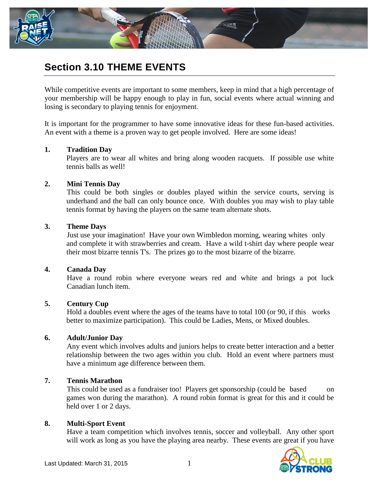

# **Section 3.10 THEME EVENTS**

While competitive events are important to some members, keep in mind that a high percentage of your membership will be happy enough to play in fun, social events where actual winning and losing is secondary to playing tennis for enjoyment.

It is important for the programmer to have some innovative ideas for these fun-based activities. An event with a theme is a proven way to get people involved. Here are some ideas!

## **1. Tradition Day**

Players are to wear all whites and bring along wooden racquets. If possible use white tennis balls as well!

## **2. Mini Tennis Day**

This could be both singles or doubles played within the service courts, serving is underhand and the ball can only bounce once. With doubles you may wish to play table tennis format by having the players on the same team alternate shots.

#### **3. Theme Days**

Just use your imagination! Have your own Wimbledon morning, wearing whites only and complete it with strawberries and cream. Have a wild t-shirt day where people wear their most bizarre tennis T's. The prizes go to the most bizarre of the bizarre.

#### **4. Canada Day**

Have a round robin where everyone wears red and white and brings a pot luck Canadian lunch item.

# **5. Century Cup**

Hold a doubles event where the ages of the teams have to total 100 (or 90, if this works better to maximize participation). This could be Ladies, Mens, or Mixed doubles.

# **6. Adult/Junior Day**

Any event which involves adults and juniors helps to create better interaction and a better relationship between the two ages within you club. Hold an event where partners must have a minimum age difference between them.

# **7. Tennis Marathon**

This could be used as a fundraiser too! Players get sponsorship (could be based on games won during the marathon). A round robin format is great for this and it could be held over 1 or 2 days.

# **8. Multi-Sport Event**

Have a team competition which involves tennis, soccer and volleyball. Any other sport will work as long as you have the playing area nearby. These events are great if you have